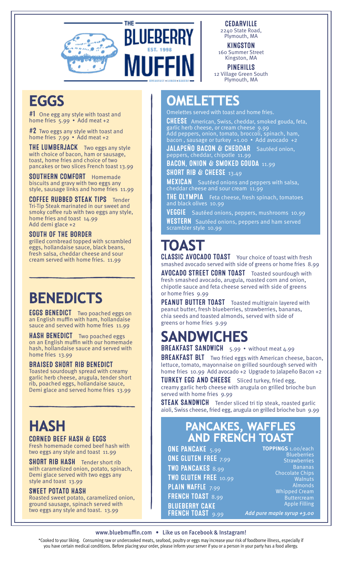

**THF** 

**BLUEBERRY** 

**MUFFIN** 



KINGSTON 160 Summer Street Kingston, MA

PINEHILLS 12 Village Green South Plymouth, MA

## **EGGS**

#1 One egg any style with toast and home fries 5.99 • Add meat +2

 $#2$  Two eggs any style with toast and home fries 7.99 • Add meat +2

**THE LUMBERJACK** Two eggs any style with choice of bacon, ham or sausage, toast, home fries and choice of two pancakes or two slices French toast 13.99

SOUTHERN COMFORT Homemade biscuits and gravy with two eggs any style, sausage links and home fries 11.99

COFFEE RUBBED STEAK TIPS Tender Tri-Tip Steak marinated in our sweet and smoky coffee rub with two eggs any style, home fries and toast 14.99 Add demi glace +2

#### SOUTH OF THE BORDER

grilled cornbread topped with scrambled eggs, hollandaise sauce, black beans, fresh salsa, cheddar cheese and sour cream served with home fries. 11.99

## **BENEDICTS**

**EGGS BENEDICT** Two poached eggs on an English muffin with ham, hollandaise sauce and served with home fries 11.99

**HASH BENEDICT** Two poached eggs on an English muffin with our homemade hash, hollandaise sauce and served with home fries 13.99

#### BRAISED SHORT RIB BENEDICT

Toasted sourdough spread with creamy garlic herb cheese, arugula, tender short rib, poached eggs, hollandaise sauce, Demi glace and served home fries 13.99

## **HASH**

#### CORNED BEEF HASH & EGGS Fresh homemade corned beef hash with

two eggs any style and toast 11.99 **SHORT RIB HASH** Tender short rib

with caramelized onion, potato, spinach, Demi glace served with two eggs any style and toast 13.99

#### SWEET POTATO HASH

Roasted sweet potato, caramelized onion, ground sausage, spinach served with two eggs any style and toast. 13.99

### **OMELETTES**

Omelettes served with toast and home fries.

CHEESE American, Swiss, cheddar, smoked gouda, feta, garlic herb cheese, or cream cheese 9.99 Add peppers, onion, tomato, broccoli, spinach, ham, bacon , sausage or turkey +1.00 • Add avocado +2

JALAPEÑO BACON & CHEDDAR Sautéed onion, peppers, cheddar, chipotle 11.99

BACON, ONION & SMOKED GOUDA 11.99 SHORT RIB & CHEESE  $13.49$ 

**MEXICAN** Sautéed onions and peppers with salsa, cheddar cheese and sour cream 11.99

**THE OLYMPIA** Feta cheese, fresh spinach, tomatoes and black olives 10.99

VEGGIE Sautéed onions, peppers, mushrooms 10.99 **WESTERN** Sautéed onions, peppers and ham served scrambler style 10.99

## **TOAST**

CLASSIC AVOCADO TOAST Your choice of toast with fresh smashed avocado served with side of greens or home fries 8.99

**AVOCADO STREET CORN TOAST** Toasted sourdough with fresh smashed avocado, arugula, roasted corn and onion, chipotle sauce and feta cheese served with side of greens or home fries 9.99

PEANUT BUTTER TOAST Toasted multigrain layered with peanut butter, fresh blueberries, strawberries, bananas, chia seeds and toasted almonds, served with side of greens or home fries 9.99

## **SANDWICHES**

BREAKFAST SANDWICH 5.99 • without meat 4.99

**BREAKFAST BLT** Two fried eggs with American cheese, bacon, lettuce, tomato, mayonnaise on grilled sourdough served with home fries 10.99 Add avocado +2 Upgrade to Jalapeño Bacon +2

TURKEY EGG AND CHEESE Sliced turkey, fried egg, creamy garlic herb cheese with arugula on grilled brioche bun served with home fries 9.99

**STEAK SANDWICH** Tender sliced tri tip steak, roasted garlic aioli, Swiss cheese, fried egg, arugula on grilled brioche bun 9.99

# **PANCAKES, WAFFLES AND FRENCH TOAST**

ONE PANCAKE 5.99 ONE GLUTEN FREE 7.99 TWO PANCAKES 8.99 TWO GLUTEN FREE 10.99 PLAIN WAFFLE 7.99 FRENCH TOAST 8.99 BLUEBERRY CAKE FRENCH TOAST 9.99

**TOPPINGS** 1.00/each **Blueberries** Strawberries Bananas Chocolate Chips Walnuts Almonds Whipped Cream Buttercream Apple Filling Add pure maple syrup +3.00

#### www.bluebmuffin.com • Like us on Facebook & Instagram!

\*Cooked to your liking. Consuming raw or undercooked meats, seafood, poultry or eggs may increase your risk of foodborne illness, especially if you have certain medical conditions. Before placing your order, please inform your server if you or a person in your party has a food allergy.